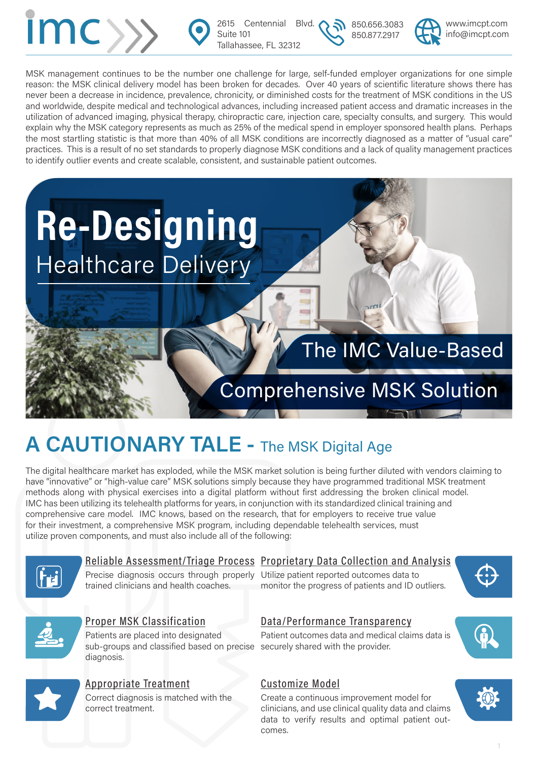

2615 Centennial Blvd. Suite 101 Tallahassee, FL 32312

850.656.3083 850.877.2917



MSK management continues to be the number one challenge for large, self-funded employer organizations for one simple reason: the MSK clinical delivery model has been broken for decades. Over 40 years of scientific literature shows there has never been a decrease in incidence, prevalence, chronicity, or diminished costs for the treatment of MSK conditions in the US and worldwide, despite medical and technological advances, including increased patient access and dramatic increases in the utilization of advanced imaging, physical therapy, chiropractic care, injection care, specialty consults, and surgery. This would explain why the MSK category represents as much as 25% of the medical spend in employer sponsored health plans. Perhaps the most startling statistic is that more than 40% of all MSK conditions are incorrectly diagnosed as a matter of "usual care" practices. This is a result of no set standards to properly diagnose MSK conditions and a lack of quality management practices to identify outlier events and create scalable, consistent, and sustainable patient outcomes.



# The IMC Value-Based

# Comprehensive MSK Solution

# **A CAUTIONARY TALE -** The MSK Digital Age

The digital healthcare market has exploded, while the MSK market solution is being further diluted with vendors claiming to have "innovative" or "high-value care" MSK solutions simply because they have programmed traditional MSK treatment methods along with physical exercises into a digital platform without first addressing the broken clinical model. IMC has been utilizing its telehealth platforms for years, in conjunction with its standardized clinical training and comprehensive care model. IMC knows, based on the research, that for employers to receive true value for their investment, a comprehensive MSK program, including dependable telehealth services, must utilize proven components, and must also include all of the following:



#### Reliable Assessment/Triage Process Proprietary Data Collection and Analysis

Precise diagnosis occurs through properly Utilize patient reported outcomes data to trained clinicians and health coaches.

monitor the progress of patients and ID outliers.





#### Proper MSK Classification

Patients are placed into designated sub-groups and classified based on precise securely shared with the provider. diagnosis.



#### Appropriate Treatment Correct diagnosis is matched with the

correct treatment.

### Data/Performance Transparency

Patient outcomes data and medical claims data is

### Customize Model

Create a continuous improvement model for clinicians, and use clinical quality data and claims data to verify results and optimal patient outcomes.